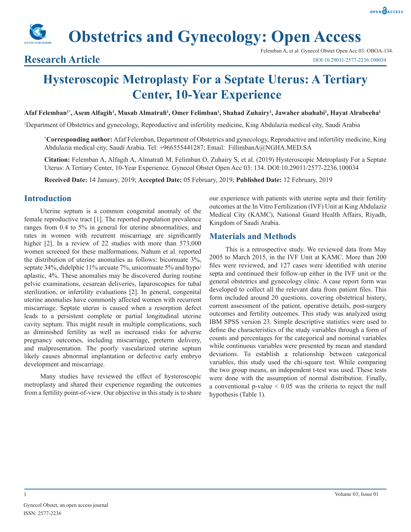# **Obstetrics and Gynecology: Open Access**

# **Research Article**

# **Hysteroscopic Metroplasty For a Septate Uterus: A Tertiary Center, 10-Year Experience**

**Afaf Felemban1\*, Asem Alfagih1 , Musab Almatrafi<sup>1</sup> , Omer Felimban1 , Shahad Zuhairy1 , Jawaher alsahabi1 , Hayat Alrabeeha1**

1 Department of Obstetrics and gynecology, Reproductive and infertility medicine, King Abdulazia medical city, Saudi Arabia

**\* Corresponding author:** Afaf Felemban, Department of Obstetrics and gynecology, Reproductive and infertility medicine, King Abdulazia medical city, Saudi Arabia. Tel: +966555441287; Email: FillimbanA@NGHA.MED.SA

**Citation:** Felemban A, Alfagih A, Almatrafi M, Felimban O, Zuhairy S, et al. (2019) Hysteroscopic Metroplasty For a Septate Uterus: A Tertiary Center, 10-Year Experience. Gynecol Obstet Open Acc 03: 134. DOI:10.29011/2577-2236.100034

**Received Date:** 14 January, 2019; **Accepted Date:** 05 February, 2019; **Published Date:** 12 February, 2019

# **Introduction**

Uterine septum is a common congenital anomaly of the female reproductive tract [1]. The reported population prevalence ranges from 0.4 to 5% in general for uterine abnormalities, and rates in women with recurrent miscarriage are significantly higher [2]. In a review of 22 studies with more than 573,000 women screened for these malformations, Nahum et al. reported the distribution of uterine anomalies as follows: bicornuate 3%, septate 34%, didelphic 11% arcuate 7%, unicornuate 5% and hypo/ aplastic, 4%. These anomalies may be discovered during routine pelvic examinations, cesarean deliveries, laparoscopies for tubal sterilization, or infertility evaluations [2]. In general, congenital uterine anomalies have commonly affected women with recurrent miscarriage. Septate uterus is caused when a resorption defect leads to a persistent complete or partial longitudinal uterine cavity septum. This might result in multiple complications, such as diminished fertility as well as increased risks for adverse pregnancy outcomes, including miscarriage, preterm delivery, and malpresentation. The poorly vascularized uterine septum likely causes abnormal implantation or defective early embryo development and miscarriage.

Many studies have reviewed the effect of hysteroscopic metroplasty and shared their experience regarding the outcomes from a fertility point-of-view. Our objective in this study is to share our experience with patients with uterine septa and their fertility outcomes at the In Vitro Fertilization (IVF) Unit at King Abdulaziz Medical City (KAMC), National Guard Health Affairs, Riyadh, Kingdom of Saudi Arabia.

# **Materials and Methods**

This is a retrospective study. We reviewed data from May 2005 to March 2015, in the IVF Unit at KAMC. More than 200 files were reviewed, and 127 cases were identified with uterine septa and continued their follow-up either in the IVF unit or the general obstetrics and gynecology clinic. A case report form was developed to collect all the relevant data from patient files. This form included around 20 questions, covering obstetrical history, current assessment of the patient, operative details, post-surgery outcomes and fertility outcomes. This study was analyzed using IBM SPSS version 23. Simple descriptive statistics were used to define the characteristics of the study variables through a form of counts and percentages for the categorical and nominal variables while continuous variables were presented by mean and standard deviations. To establish a relationship between categorical variables, this study used the chi-square test. While comparing the two group means, an independent t-test was used. These tests were done with the assumption of normal distribution. Finally, a conventional  $p$ -value  $\leq 0.05$  was the criteria to reject the null hypothesis (Table 1).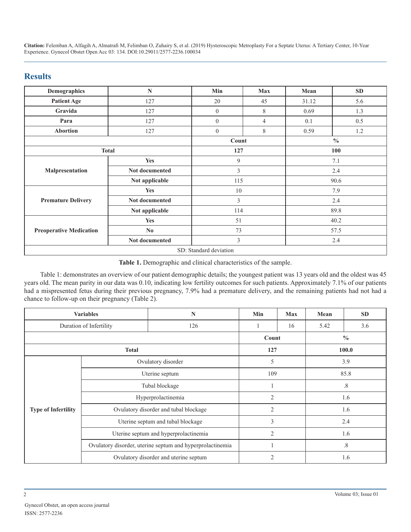# **Results**

| Demographics                   | N              | Min            | <b>Max</b>     | Mean  | <b>SD</b>     |  |
|--------------------------------|----------------|----------------|----------------|-------|---------------|--|
| <b>Patient Age</b>             | 127            | 20             | 45             | 31.12 | 5.6           |  |
| Gravida                        | 127            | $\theta$       | 8              | 0.69  | 1.3           |  |
| Para                           | 127            | $\overline{0}$ | $\overline{4}$ | 0.1   | 0.5           |  |
| Abortion                       | 127            | $\overline{0}$ | 8              | 0.59  | 1.2           |  |
|                                |                |                | Count          |       | $\frac{0}{0}$ |  |
| <b>Total</b>                   |                |                | 127            |       | 100           |  |
| Malpresentation                | <b>Yes</b>     | 9              |                |       | 7.1           |  |
|                                | Not documented | 3              |                | 2.4   |               |  |
|                                | Not applicable | 115            |                | 90.6  |               |  |
|                                | <b>Yes</b>     | 10             |                | 7.9   |               |  |
| <b>Premature Delivery</b>      | Not documented | 3              |                | 2.4   |               |  |
|                                | Not applicable | 114            |                | 89.8  |               |  |
|                                | <b>Yes</b>     | 51             |                |       | 40.2          |  |
| <b>Preoperative Medication</b> | $\bf No$       | 73             |                | 57.5  |               |  |
|                                | Not documented | 3              |                | 2.4   |               |  |
| SD: Standard deviation         |                |                |                |       |               |  |

**Table 1.** Demographic and clinical characteristics of the sample.

Table 1: demonstrates an overview of our patient demographic details; the youngest patient was 13 years old and the oldest was 45 years old. The mean parity in our data was 0.10, indicating low fertility outcomes for such patients. Approximately 7.1% of our patients had a mispresented fetus during their previous pregnancy, 7.9% had a premature delivery, and the remaining patients had not had a chance to follow-up on their pregnancy (Table 2).

| <b>Variables</b>           |                                       | N                                                         | Min            | <b>Max</b> | Mean          | <b>SD</b> |
|----------------------------|---------------------------------------|-----------------------------------------------------------|----------------|------------|---------------|-----------|
| Duration of Infertility    |                                       | 126                                                       |                | 16         | 5.42          | 3.6       |
|                            |                                       |                                                           | Count          |            | $\frac{0}{0}$ |           |
| <b>Total</b>               |                                       | 127                                                       |                | 100.0      |               |           |
|                            | Ovulatory disorder                    |                                                           | 5              |            | 3.9           |           |
| <b>Type of Infertility</b> | Uterine septum                        |                                                           | 109            |            | 85.8          |           |
|                            | Tubal blockage                        |                                                           |                |            | .8            |           |
|                            | Hyperprolactinemia                    |                                                           | $\mathfrak{2}$ |            | 1.6           |           |
|                            | Ovulatory disorder and tubal blockage |                                                           | $\overline{2}$ |            | 1.6           |           |
|                            | Uterine septum and tubal blockage     |                                                           | 3              |            | 2.4           |           |
|                            | Uterine septum and hyperprolactinemia |                                                           | $\overline{2}$ |            | 1.6           |           |
|                            |                                       | Ovulatory disorder, uterine septum and hyperprolactinemia |                |            |               | $.8\,$    |
|                            |                                       | Ovulatory disorder and uterine septum                     | 2              |            | 1.6           |           |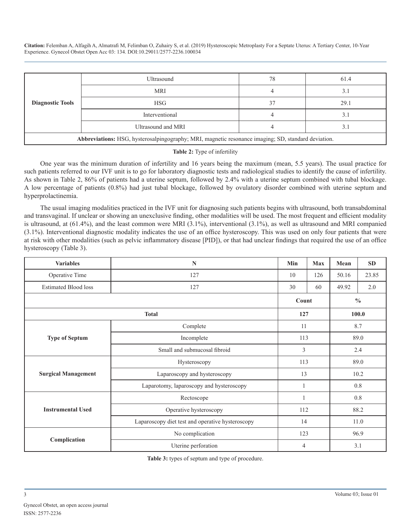| <b>Diagnostic Tools</b>                                                                             | Ultrasound         | 78 | 61.4 |  |
|-----------------------------------------------------------------------------------------------------|--------------------|----|------|--|
|                                                                                                     | <b>MRI</b>         |    | 3.1  |  |
|                                                                                                     | <b>HSG</b>         | 37 | 29.1 |  |
|                                                                                                     | Interventional     |    | 3.1  |  |
|                                                                                                     | Ultrasound and MRI |    | 3.1  |  |
| Abbreviations: HSG, hysterosalpingography; MRI, magnetic resonance imaging; SD, standard deviation. |                    |    |      |  |

#### **Table 2:** Type of infertility

One year was the minimum duration of infertility and 16 years being the maximum (mean, 5.5 years). The usual practice for such patients referred to our IVF unit is to go for laboratory diagnostic tests and radiological studies to identify the cause of infertility. As shown in Table 2, 86% of patients had a uterine septum, followed by 2.4% with a uterine septum combined with tubal blockage. A low percentage of patients (0.8%) had just tubal blockage, followed by ovulatory disorder combined with uterine septum and hyperprolactinemia.

The usual imaging modalities practiced in the IVF unit for diagnosing such patients begins with ultrasound, both transabdominal and transvaginal. If unclear or showing an unexclusive finding, other modalities will be used. The most frequent and efficient modality is ultrasound, at (61.4%), and the least common were MRI (3.1%), interventional (3.1%), as well as ultrasound and MRI companied (3.1%). Interventional diagnostic modality indicates the use of an office hysteroscopy. This was used on only four patients that were at risk with other modalities (such as pelvic inflammatory disease [PID]), or that had unclear findings that required the use of an office hysteroscopy (Table 3).

| <b>Variables</b>            | $\mathbb{N}$                                     | Min   | Max | Mean          | <b>SD</b> |  |
|-----------------------------|--------------------------------------------------|-------|-----|---------------|-----------|--|
| Operative Time              | 127                                              | 10    | 126 | 50.16         | 23.85     |  |
| <b>Estimated Blood loss</b> | 127                                              | 30    | 60  | 49.92         | 2.0       |  |
|                             |                                                  | Count |     | $\frac{0}{0}$ |           |  |
|                             | <b>Total</b>                                     |       | 127 |               | 100.0     |  |
|                             | Complete                                         | 11    |     | 8.7           |           |  |
| <b>Type of Septum</b>       | Incomplete                                       | 113   |     | 89.0          |           |  |
|                             | Small and submucosal fibroid                     | 3     |     | 2.4           |           |  |
|                             | Hysteroscopy                                     | 113   |     | 89.0          |           |  |
| <b>Surgical Management</b>  | Laparoscopy and hysteroscopy                     | 13    |     | 10.2          |           |  |
|                             | Laparotomy, laparoscopy and hysteroscopy         |       |     | 0.8           |           |  |
|                             | Rectoscope                                       | 1     |     | $0.8\,$       |           |  |
| <b>Instrumental Used</b>    | Operative hysteroscopy                           | 112   |     | 88.2          |           |  |
|                             | Laparoscopy diet test and operative hysteroscopy | 14    |     | 11.0          |           |  |
|                             | No complication                                  | 123   |     | 96.9          |           |  |
| Complication                | Uterine perforation                              | 4     |     | 3.1           |           |  |

**Table 3:** types of septum and type of procedure.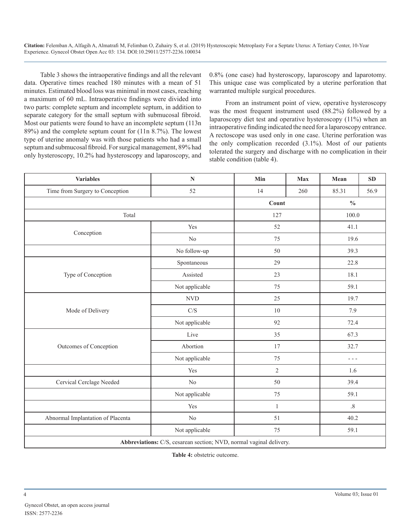Table 3 shows the intraoperative findings and all the relevant data. Operative times reached 180 minutes with a mean of 51 minutes. Estimated blood loss was minimal in most cases, reaching a maximum of 60 mL. Intraoperative findings were divided into two parts: complete septum and incomplete septum, in addition to separate category for the small septum with submucosal fibroid. Most our patients were found to have an incomplete septum (113n 89%) and the complete septum count for (11n 8.7%). The lowest type of uterine anomaly was with those patients who had a small septum and submucosal fibroid. For surgical management, 89% had only hysteroscopy, 10.2% had hysteroscopy and laparoscopy, and 0.8% (one case) had hysteroscopy, laparoscopy and laparotomy. This unique case was complicated by a uterine perforation that warranted multiple surgical procedures.

From an instrument point of view, operative hysteroscopy was the most frequent instrument used (88.2%) followed by a laparoscopy diet test and operative hysteroscopy (11%) when an intraoperative finding indicated the need for a laparoscopy entrance. A rectoscope was used only in one case. Uterine perforation was the only complication recorded (3.1%). Most of our patients tolerated the surgery and discharge with no complication in their stable condition (table 4).

| <b>Variables</b>                  | $\mathbf N$                                                         | Min            | <b>Max</b> | Mean    | SD   |
|-----------------------------------|---------------------------------------------------------------------|----------------|------------|---------|------|
| Time from Surgery to Conception   | 52                                                                  | 14             | 260        | 85.31   | 56.9 |
|                                   |                                                                     |                | Count      |         |      |
| Total                             |                                                                     | 127            |            | 100.0   |      |
|                                   | Yes                                                                 | 52             |            | 41.1    |      |
| Conception                        | $\rm No$                                                            | 75             |            | 19.6    |      |
|                                   | No follow-up                                                        | 50             | 39.3       |         |      |
|                                   | Spontaneous                                                         | 29             |            | 22.8    |      |
| Type of Conception                | Assisted                                                            | 23             |            | 18.1    |      |
|                                   | Not applicable                                                      | 75             |            | 59.1    |      |
|                                   | $\ensuremath{\text{NVD}}\xspace$                                    | 25             |            | 19.7    |      |
| Mode of Delivery                  | $\mathrm{C}/\mathrm{S}$                                             | $10\,$         |            | 7.9     |      |
|                                   | Not applicable                                                      | 92             |            | 72.4    |      |
|                                   | Live                                                                | 35             | 67.3       |         |      |
| Outcomes of Conception            | Abortion                                                            | 17             |            | 32.7    |      |
|                                   | Not applicable                                                      | 75             |            | $- - -$ |      |
|                                   | Yes                                                                 | $\overline{2}$ |            | 1.6     |      |
| Cervical Cerclage Needed          | 50<br>$\rm No$                                                      |                | 39.4       |         |      |
|                                   | Not applicable                                                      | 75             |            | 59.1    |      |
|                                   | Yes                                                                 | $\mathbf{1}$   |            | $.8\,$  |      |
| Abnormal Implantation of Placenta | $\rm No$                                                            | 51             |            | 40.2    |      |
|                                   | Not applicable                                                      | 75             |            | 59.1    |      |
|                                   | Abbreviations: C/S, cesarean section; NVD, normal vaginal delivery. |                |            |         |      |

**Table 4:** obstetric outcome.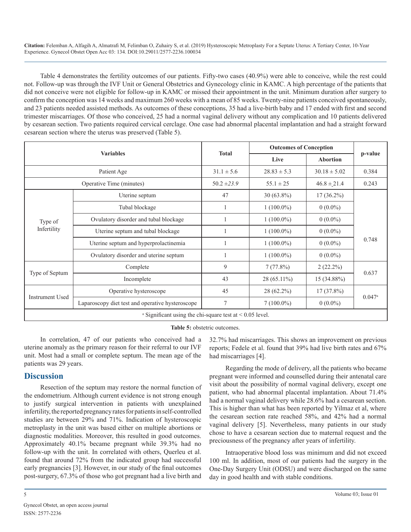Table 4 demonstrates the fertility outcomes of our patients. Fifty-two cases (40.9%) were able to conceive, while the rest could not. Follow-up was through the IVF Unit or General Obstetrics and Gynecology clinic in KAMC. A high percentage of the patients that did not conceive were not eligible for follow-up in KAMC or missed their appointment in the unit. Minimum duration after surgery to confirm the conception was 14 weeks and maximum 260 weeks with a mean of 85 weeks. Twenty-nine patients conceived spontaneously, and 23 patients needed assisted methods. As outcomes of these conceptions, 35 had a live-birth baby and 17 ended with first and second trimester miscarriages. Of those who conceived, 25 had a normal vaginal delivery without any complication and 10 patients delivered by cesarean section. Two patients required cervical cerclage. One case had abnormal placental implantation and had a straight forward cesarean section where the uterus was preserved (Table 5).

| <b>Variables</b>                                                         |                                                  |                 | <b>Outcomes of Conception</b> |                  |         |  |
|--------------------------------------------------------------------------|--------------------------------------------------|-----------------|-------------------------------|------------------|---------|--|
|                                                                          |                                                  | <b>Total</b>    | Live                          | <b>Abortion</b>  | p-value |  |
| Patient Age                                                              |                                                  | $31.1 \pm 5.6$  | $28.83 \pm 5.3$               | $30.18 \pm 5.02$ | 0.384   |  |
| Operative Time (minutes)                                                 |                                                  | $50.2 \pm 23.9$ | $55.1 \pm 25$                 | $46.8 \pm 21.4$  | 0.243   |  |
| Type of<br>Infertility                                                   | Uterine septum                                   | 47              | $30(63.8\%)$                  | $17(36.2\%)$     |         |  |
|                                                                          | Tubal blockage                                   |                 | $1(100.0\%)$                  | $0(0.0\%)$       |         |  |
|                                                                          | Ovulatory disorder and tubal blockage            |                 | $1(100.0\%)$                  | $0(0.0\%)$       |         |  |
|                                                                          | Uterine septum and tubal blockage                |                 | $1(100.0\%)$                  | $0(0.0\%)$       | 0.748   |  |
|                                                                          | Uterine septum and hyperprolactinemia            |                 | $1(100.0\%)$                  | $0(0.0\%)$       |         |  |
|                                                                          | Ovulatory disorder and uterine septum            |                 | $1(100.0\%)$                  | $0(0.0\%)$       |         |  |
| Type of Septum                                                           | Complete                                         | 9               | 7(77.8%)                      | $2(22.2\%)$      | 0.637   |  |
|                                                                          | Incomplete                                       | 43              | 28 (65.11%)                   | 15 (34.88%)      |         |  |
| <b>Instrument Used</b>                                                   | Operative hysteroscope                           | 45              | $28(62.2\%)$                  | $17(37.8\%)$     |         |  |
|                                                                          | Laparoscopy diet test and operative hysteroscope | 7               | $7(100.0\%)$                  | $0(0.0\%)$       | 0.047a  |  |
| <sup>a</sup> Significant using the chi-square test at $\leq 0.05$ level. |                                                  |                 |                               |                  |         |  |

**Table 5:** obstetric outcomes.

In correlation, 47 of our patients who conceived had a uterine anomaly as the primary reason for their referral to our IVF unit. Most had a small or complete septum. The mean age of the patients was 29 years.

# **Discussion**

Resection of the septum may restore the normal function of the endometrium. Although current evidence is not strong enough to justify surgical intervention in patients with unexplained infertility, the reported pregnancy rates for patients in self-controlled studies are between 29% and 71%. Indication of hysteroscopic metroplasty in the unit was based either on multiple abortions or diagnostic modalities. Moreover, this resulted in good outcomes. Approximately 40.1% became pregnant while 39.3% had no follow-up with the unit. In correlated with others, Querleu et al. found that around 72% from the indicated group had successful early pregnancies [3]. However, in our study of the final outcomes post-surgery, 67.3% of those who got pregnant had a live birth and

32.7% had miscarriages. This shows an improvement on previous reports; Fedele et al. found that 39% had live birth rates and 67% had miscarriages [4].

Regarding the mode of delivery, all the patients who became pregnant were informed and counselled during their antenatal care visit about the possibility of normal vaginal delivery, except one patient, who had abnormal placental implantation. About 71.4% had a normal vaginal delivery while 28.6% had a cesarean section. This is higher than what has been reported by Yilmaz et al, where the cesarean section rate reached 58%, and 42% had a normal vaginal delivery [5]. Nevertheless, many patients in our study chose to have a cesarean section due to maternal request and the preciousness of the pregnancy after years of infertility.

Intraoperative blood loss was minimum and did not exceed 100 ml. In addition, most of our patients had the surgery in the One-Day Surgery Unit (ODSU) and were discharged on the same day in good health and with stable conditions.